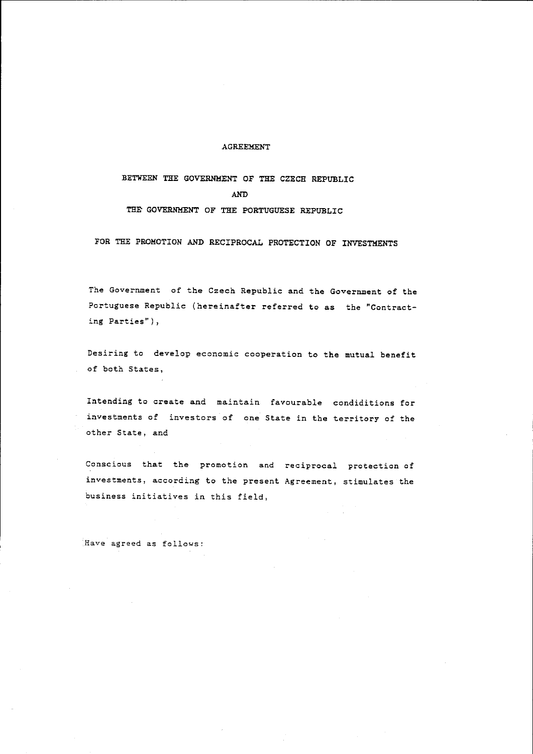## AGREEMENT

BETWEEN THE GOVERNMENT OF THE CZECH REPUBLIC AND THR GOVERNMENT OF THE PORTUGUESE REPUBLIC

FOR THE PROMOTION AND RECIPROCAL PROTECTION OF INVESTMENTS

The Government of the Czech Republic and the Government of the Portuguese Republic (hereinafter referred to as the "Contracting Parties"),

Desiring to develop economic cooperation to the mutual benefit of both States,

Intending to create and maintain favourable condiditions for investments of investors of one State in the territory of the other State, and

Conscious that the promotion and reciprocal protection of investments, according to the present Agreement, stimulates the business initiatives in this field,

**Have agreed as follows:**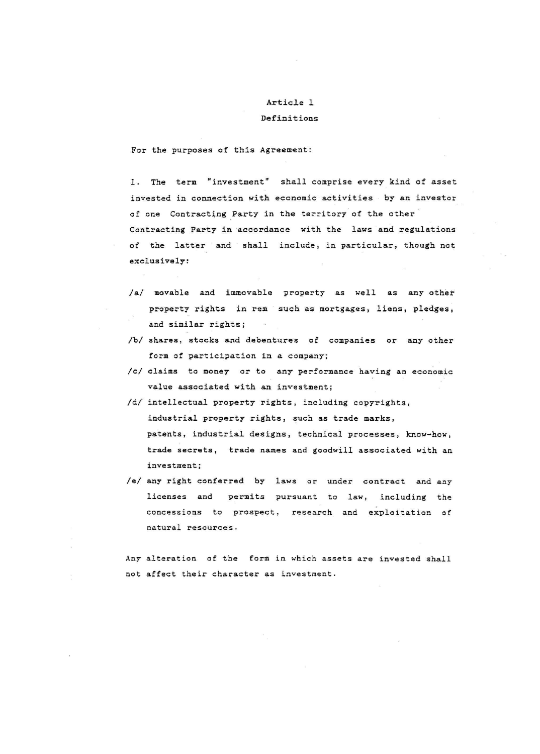## Article 1

#### Definitions

For the purposes of this Agreement:

1. The term "investment" shall comprise every kind of asset invested in connection with economic activities by an investor of one Contracting Party in the territory of the other Contracting Party in accordance with the laws and regulations of the latter and shall include, in particular, though not exclusively:

- *lal* movable and immovable property as well as any other property rights in rem such as mortgages, liens, pledges, and similar rights;
- *Ibl* shares, stocks and debentures of companies or any other form of participation in a company;
- *Icl* claims to money or to any performance having an economic value associated with an investment;
- *Idl* intellectual property rights, including copyrights, industrial property rights, such as trade marks, patents, industrial designs, technical processes, know-how, trade secrets, trade names and goodwill associated with an investment;
- *lei* any right conferred by laws or under contract and any licenses and permits pursuant to law, including the concessions to prospect, research and exploitation of **natural resourCes.**

Any alteration of the form in which assets are invested shall not affect their character as investment.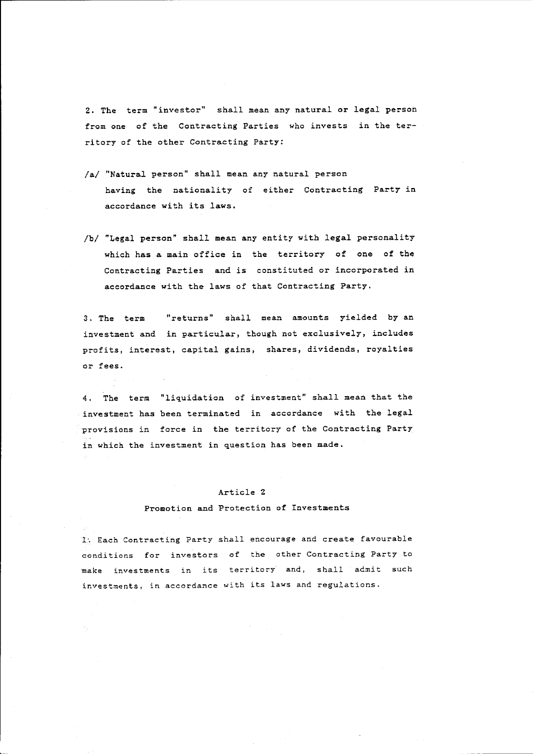2. The term "investor" shall mean any natural or legal person from one of the Contracting Parties who invests in the territory of the other Contracting Party:

- /a/ "Natural person" shall mean any natural person having the nationality of either Contracting Party in accordance with its laws.
- /b/ "Legal person" shall mean any entity with legal personality which has a main office in the territory of one of the Contracting Parties and is constituted or incorporated in accordance with the laws of that Contracting Party.

3. The term **"returns"** shall mean amounts yielded by an investment and in particular, though not exclusively, includes profits, interest, capital gains, shares, dividends, royalties or fees.

4. The term "liquidation of investment" shall mean that the investment has been terminated in accordance with the legal provisions in force in the territory of the Contracting Party in which the investment in question has been made.

## Article 2

## Promotion and Protection of Investments

1. Each Contracting Party shall encourage and create favourable conditions for investors of the other Contracting Party to **make investments in its territory and, shall admit such investments, in accordance with its laws and regulations.**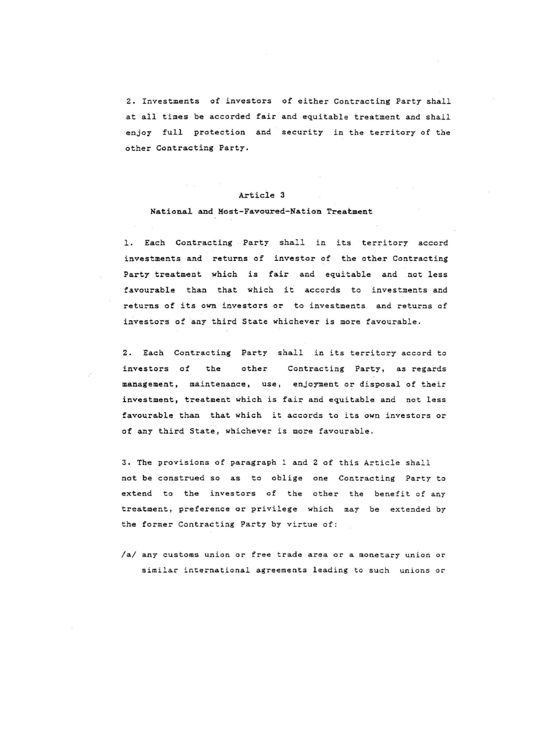2. Investments of investors of either Contracting Party shall at all times be accorded fair and equitable treatment and shall enjoy full protection and security in the territory of the other Contracting Party.

## Article 3

## National and Most-Favoured-Nation Treatment

1. Each Contracting Party shall in its territory accord investments and returns of investor of the other Contracting Party treatment which is fair and equitable and not less favourable than that which it accords to investments and returns of its own investors or to investments and returns of investors of any third State whichever is more favourable.

2. Each Contracting Party shall in its territory accord to investors of the other Contracting Party, as regards management, maintenance, use, enjoyment or disposal of their investment, treatment which is fair and equitable and not less favourable than that which it accords to its own investors or of any third State, whichever is more favourable.

3. The provisions of paragraph l and 2 of this Article shall not be construed so as to oblige one Contracting Party to extend to the investors of the other the benefit of any treatment, preference or privilege which may be extended by the former Contracting Party by virtue of:

/a/ any customs union or free trade area or a monetary union or similar international agreements leading to such unions or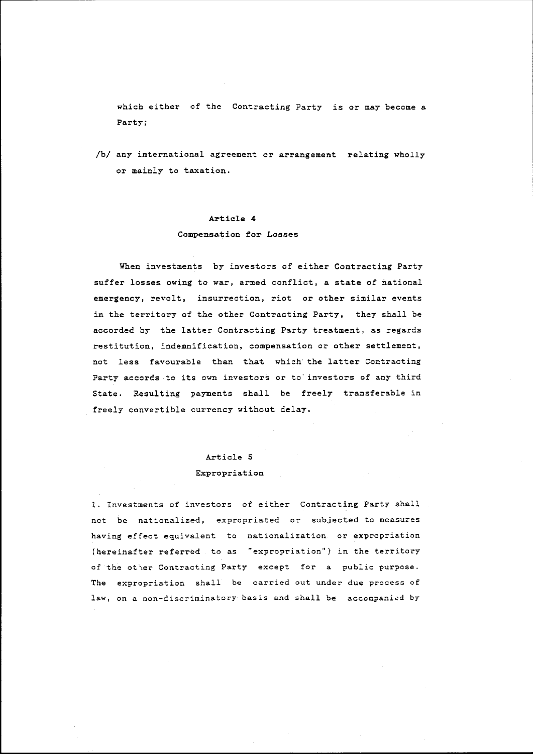which either of the Contracting Party *is* or may become a Party;

*Ibl* any international agreement or arrangement relating wholly or mainly to taxation.

## Article 4

## Compensation for Losses

When investments by investors of either Contracting Party suffer losses owing to war, armed conflict, a state of national emergency, revolt, insurrection, riot or other similar events in the territory of the other Contracting Party, they shall be accorded by the latter Contracting Party treatment, as regards restitution, indemnification, compensation or other settlement, not less favourable than that which' the latter Contracting Party accords to its own investors or to' investors of any third State. Resulting payments shall be freely transferable in freely convertible currency without delay.

## Article 5

#### Expropriation

1. Investments of investors of either Contracting Party shall not be nationalized, expropriated or subjected to measures having effect equivalent to nationalization or expropriation (hereinafter referred to as "expropriation") in the territory of the ot\er Contracting Party except for a public purpose. The expropriation shall be carried out under due process of law, on a non-discriminatory basis and shall be accompanied by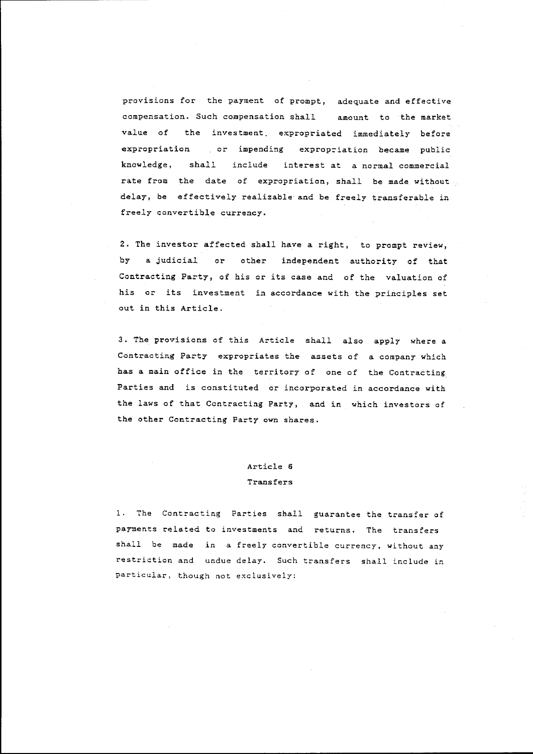provisions for the payment of prompt, adequate and effective compensation. Such compensation shall amount to the market value of the investment, expropriated immediately before expropriation or impending expropriation became public knowledge, shall include interest at a normal commercial rate from the date of expropriation, shall be made without delay, be effectively realizable and be freely transferable in freely convertible currency.

2. The investor affected shall have a right, to prompt review, by a judicial or other independent authority of that Contracting Party, of his or its case and of the valuation of his or its investment in accordance with the principles set out in this Article.

3. The provisions of this Article shall also apply where a Contracting Party expropriates the assets of a company which has a main office in the territory of one of the Contracting Parties and is constituted or incorporated in accordance with the laws of that Contracting Party, and in which investors of the other Contracting Party own shares.

# Article 6

## Transfers

1. The Contracting Parties shall guarantee the transfer of payments related to investments and returns. The transfers shall be made in a freely convertible currency, without any restriction and undue delay. Such transfers shall include in particular, though not exclusively: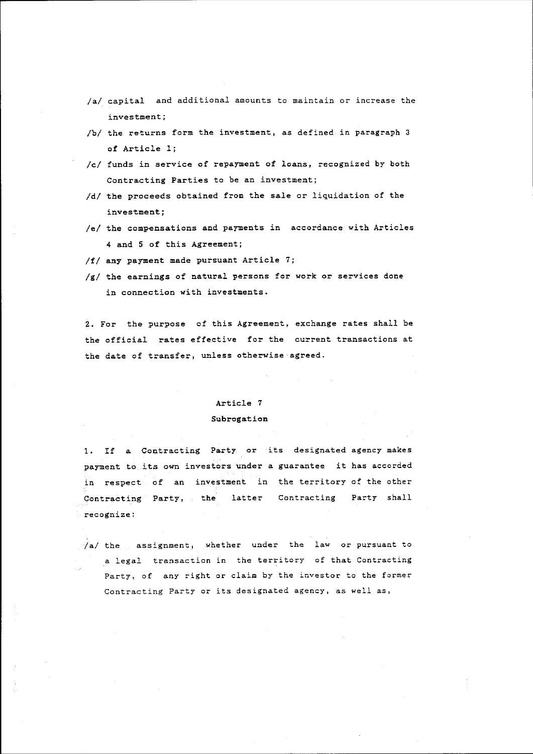- *lal* capital and additional amounts to maintain or increase the **investment;**
- *Ibl* the returns form the investment, as defined in paragraph 3 of Article 1;
- *Icl* funds *in* service of repayment of loans, recognized by both Contracting Parties to be an investment;
- *Idl* the proceeds obtained from the sale or liquidation of the **investment;**
- /e/ the compensations and payments in accordance with Articles 4 and 5 of this Agreement;
- *If I* any payment made pursuant Article 7;
- *Igl* the earnings of natural persons for work or services done *in* connection with investments.

2. For the purpose of this Agreement, exchange rates shall be the official rates effective for the current transactions at the date of transfer, unless otherwise agreed.

## Article 7

#### Subrogation

1. If a Contracting Party or its designated agency makes payment to its own investors under a guarantee it has accorded in respect of an investment in the territory of the other Contracting Party, the latter Contracting Party shall **recognize:** 

*la/* the **assignment,** whether under the law or pursuant to a legal transaction in the territory of that Contracting Party, of any right or claim by the investor to the former Contracting Party or its designated agency, as well as,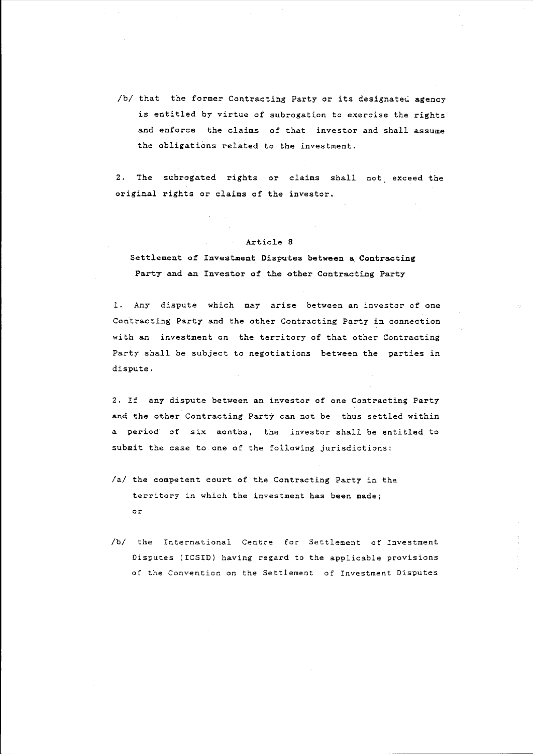/b/ that the former Contracting Party or its designated agency is entitled by virtue of subrogation to exercise the rights and enforce the claims of that investor and shall assume the obligations related to the investment.

2. The subrogated rights or claims shall not exceed the original rights or claims of the investor.

#### Article 8

Settlement of Investment Disputes between a Contracting Party and an Investor of the other Contracting Party

1. Any dispute which may arise between an investor of one Contracting Party and the other Contracting Party in connection with an investment on the territory of that other Contracting Party shall be subject to negotiations between the parties in dispute.

2. If any dispute between an investor of one Contracting Party and the other Contracting Party can not be thus settled within a period of six months, the investor shall be entitled to submit the case to one of the following jurisdictions:

- *lal* the competent court of the Contracting Party in the territory in which the investment has been made; or
- */bl* the International Centre for Settlement of Investment Disputes (ICSID) having regard to the applicable provisions of the Convention on the Settlement of Investment Disputes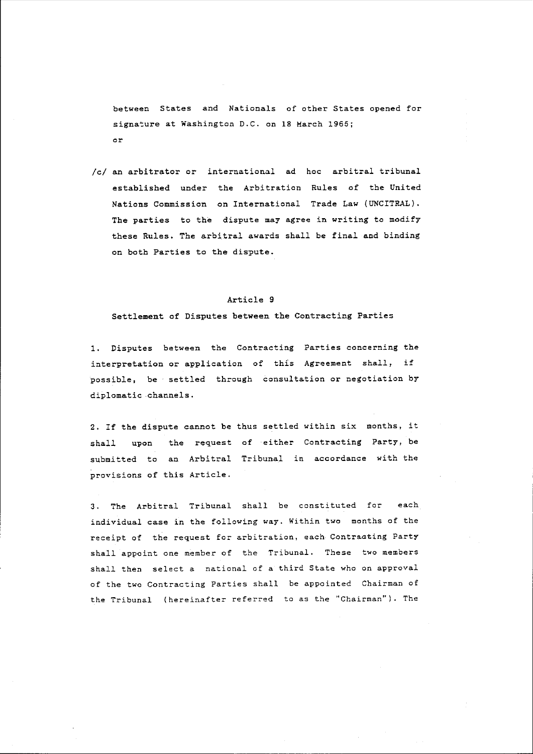between States and Nationals of other States opened for signature at Washington D.C. on 18 March 1965; or

*Icl* an arbitrator or international ad hoc arbitral tribunal established under the Arbitration Rules of the United Nations Commission on International Trade Law (UNCITRAL). The parties to the dispute may agree in writing to modify these Rules. The arbitral awards shall be final and binding on both Parties to the dispute.

## Article 9

Settlement of Disputes between the Contracting Parties

1. Disputes between the Contracting Parties concerning the interpretation or application of this Agreement shall, if possible, be settled through consultation or negotiation by diplomatic channels.

2. If the dispute cannot be thus settled within six months, it shall upon the request of either Contracting Party, be submitted to an Arbitral Tribunal in accordance with the provisions of this Article.

3. The Arbitral Tribunal shall be constituted for each individual case in the following way. Within two months of the receipt of the request for arbitration, each Contraating Party shall appoint one member of the Tribunal. These two members shall then select a national of a third State who on approval of the two Contracting Parties shall be appointed Chairman of the Tribunal (hereinafter referred to as the "Chairman"). The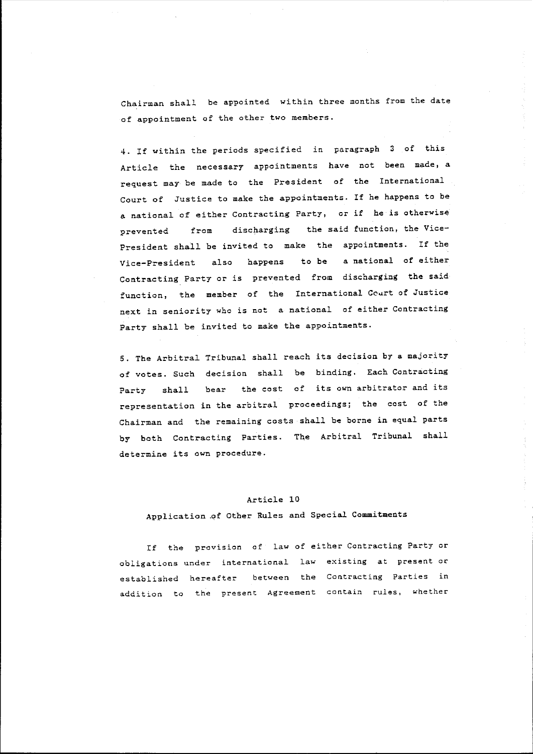Chairman shall be appointed within three months from the date of appointment of the other two members.

4. If within the periods specified in paragraph 3 of this Article the necessary appointments have not been made, a request may be made to the President of the International Court of Justice to make the appointments. If he happens to be a national of either Contracting Party, or if he is otherwise prevented from discharging the said function, the Vice-President shall be invited to make the appointments. If the Vice-President also happens to be a national of either Contracting Party or is prevented from discharging the said function, the member of the International Court of Justice next in seniority who is not a national of either Contracting Party shall be invited to make the appointments.

5. The Arbitral Tribunal shall reach its decision by a majority of votes. Such decision shall be binding. Each Contracting Party shall bear the cost of its own arbitrator and its representation in the arbitral proceedings; the cost of the Chairman and the remaining costs shall be borne in equal parts by both Contracting Parties. The Arbitral Tribunal shall determine its own procedure.

## Article 10

## Application \_of Other Rules and Special Commitments

If the provision of law of either Contracting Party or obligations under international law existing at present or established hereafter between the **Contracting Parties in**  addition to the present Agreement contain rules, whether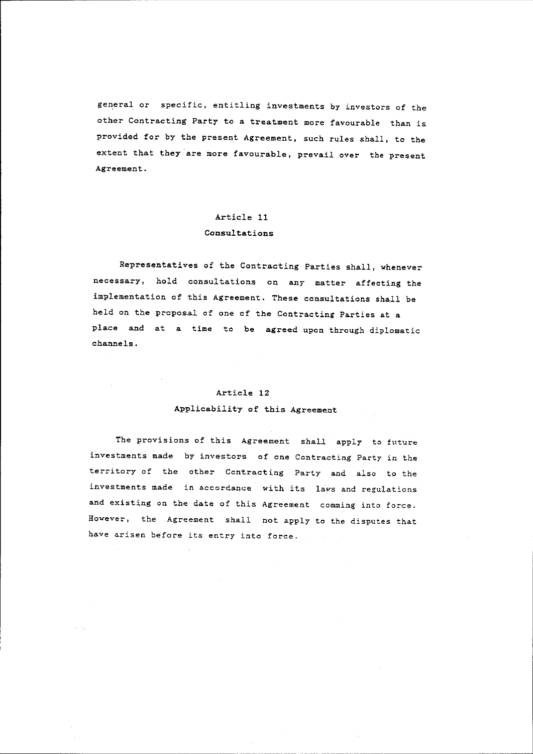general or specific, entitling investments by investors of the other Contracting Party to a treatment more favourable than *is*  provided for by the present Agreement, such rules shall, to the extent that they are more favourable, prevail over the present Agreement.

## Article 11

#### Consultations

Representatives of the Contracting Parties shall, whenever necessary, hold consultations on any matter affecting the implementation of this Agreement. These consultations shall be held on the proposal of one of the Contracting Parties at a place and at a time to be agreed upon through diplomatic channels.

## Article 12 Applicability of this Agreement

The provisions of this Agreement shall apply to future investments made by investors of one Contracting Party in the territory of the other Contracting Party and also to the investments made in accordance with its laws and regulations and existing on the date of this Agreement comming into force. However, the Agreement shall not apply to the disputes that have arisen before its entry into force.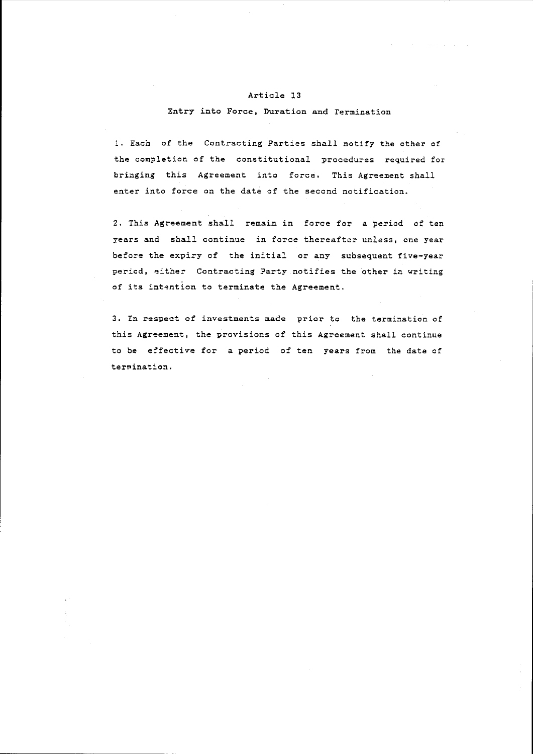## Article 13

## Entry into Force, Duration and rermination

1. Each of the Contracting Parties shall notify the other of the completion of the constitutional procedures required for bringing this Agreement into force. This Agreement shall enter into force on the date of the second notification.

2. This Agreement shall remain in force for a period of ten years and shall continue in force thereafter unless, one year before the expiry of the initial or any subsequent five-year period, either Contracting Party notifies the other in writing of its intention to terminate the Agreement.

3. In respect of investments made prior to the termination of this Agreement, the provisions of this Agreement shall continue to be effective for a period of ten years from the date of termination.